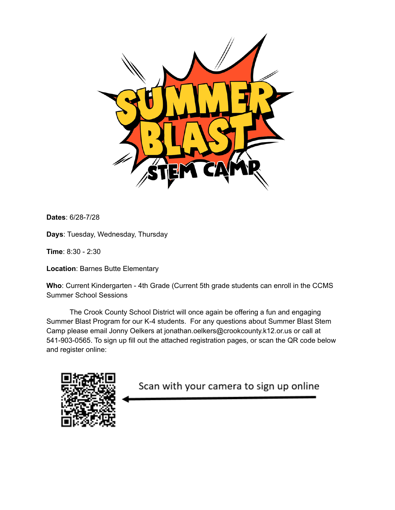

**Dates**: 6/28-7/28

**Days**: Tuesday, Wednesday, Thursday

**Time**: 8:30 - 2:30

**Location**: Barnes Butte Elementary

**Who**: Current Kindergarten - 4th Grade (Current 5th grade students can enroll in the CCMS Summer School Sessions

The Crook County School District will once again be offering a fun and engaging Summer Blast Program for our K-4 students. For any questions about Summer Blast Stem Camp please email Jonny Oelkers at jonathan.oelkers@crookcounty.k12.or.us or call at 541-903-0565. To sign up fill out the attached registration pages, or scan the QR code below and register online:



Scan with your camera to sign up online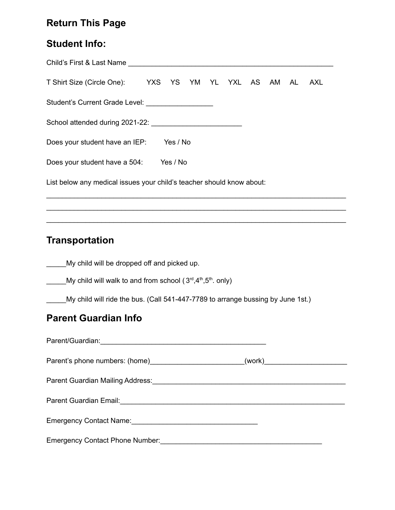## **Return This Page**

## **Student Info:**

| Child's First & Last Name                                             |  |  |  |  |  |  |  |  |
|-----------------------------------------------------------------------|--|--|--|--|--|--|--|--|
| T Shirt Size (Circle One): YXS YS YM YL YXL AS AM AL AXL              |  |  |  |  |  |  |  |  |
|                                                                       |  |  |  |  |  |  |  |  |
|                                                                       |  |  |  |  |  |  |  |  |
| Does your student have an IEP: Yes / No                               |  |  |  |  |  |  |  |  |
| Does your student have a 504:<br>Yes / No                             |  |  |  |  |  |  |  |  |
| List below any medical issues your child's teacher should know about: |  |  |  |  |  |  |  |  |
|                                                                       |  |  |  |  |  |  |  |  |

\_\_\_\_\_\_\_\_\_\_\_\_\_\_\_\_\_\_\_\_\_\_\_\_\_\_\_\_\_\_\_\_\_\_\_\_\_\_\_\_\_\_\_\_\_\_\_\_\_\_\_\_\_\_\_\_\_\_\_\_\_\_\_\_\_\_\_\_\_\_\_\_\_\_\_\_ \_\_\_\_\_\_\_\_\_\_\_\_\_\_\_\_\_\_\_\_\_\_\_\_\_\_\_\_\_\_\_\_\_\_\_\_\_\_\_\_\_\_\_\_\_\_\_\_\_\_\_\_\_\_\_\_\_\_\_\_\_\_\_\_\_\_\_\_\_\_\_\_\_\_\_\_

# **Transportation**

**We child will be dropped off and picked up.** 

My child will walk to and from school  $(3<sup>rd</sup>, 4<sup>th</sup>, 5<sup>th</sup>$ . only)

\_\_\_\_\_My child will ride the bus. (Call 541-447-7789 to arrange bussing by June 1st.)

## **Parent Guardian Info**

| Parent/Guardian: 2008 - 2009 - 2009 - 2010 - 2010 - 2010 - 2010 - 2010 - 2010 - 2010 - 2010 - 2010 - 2010 - 20                                                                                                                         |  |
|----------------------------------------------------------------------------------------------------------------------------------------------------------------------------------------------------------------------------------------|--|
|                                                                                                                                                                                                                                        |  |
| Parent Guardian Mailing Address: Maria Land March 1997 (1998)                                                                                                                                                                          |  |
| Parent Guardian Email:<br><u> Languardian Contract Contract Contract Contract Contract Contract Contract Contract Contract Contract Contract Contract Contract Contract Contract Contract Contract Contract Contract Contract Cont</u> |  |
| Emergency Contact Name: Campaign Contact Name: Contact Name: Contact Name: Contact Only December 2014                                                                                                                                  |  |
| Emergency Contact Phone Number:                                                                                                                                                                                                        |  |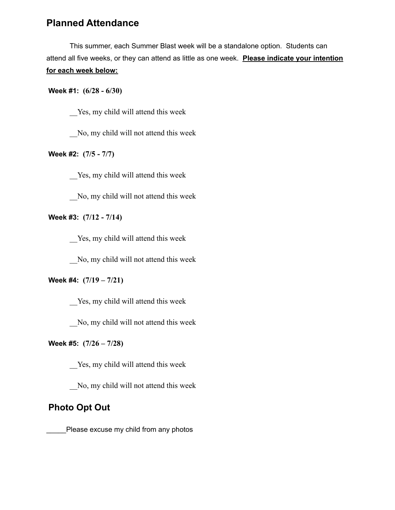### **Planned Attendance**

This summer, each Summer Blast week will be a standalone option. Students can attend all five weeks, or they can attend as little as one week. **Please indicate your intention for each week below:**

**Week #1: (6/28 - 6/30)**

\_\_Yes, my child will attend this week

\_\_No, my child will not attend this week

**Week #2: (7/5 - 7/7)**

Yes, my child will attend this week

\_\_No, my child will not attend this week

**Week #3: (7/12 - 7/14)**

\_\_Yes, my child will attend this week

\_\_No, my child will not attend this week

**Week #4: (7/19 – 7/21)**

Yes, my child will attend this week

\_\_No, my child will not attend this week

**Week #5: (7/26 – 7/28)**

Yes, my child will attend this week

\_\_No, my child will not attend this week

### **Photo Opt Out**

Please excuse my child from any photos